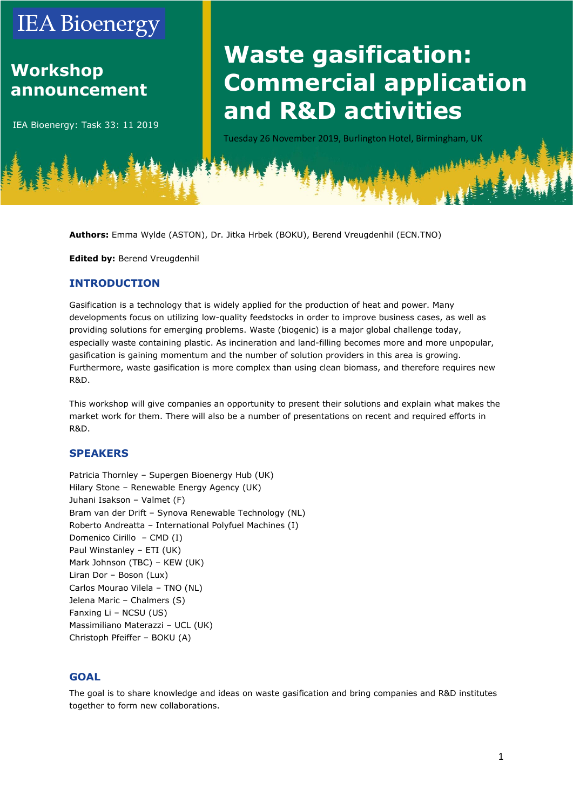## **IEA Bioenergy**

### **Workshop announcement**

IEA Bioenergy: Task 33: 11 2019

# **Waste gasification: Commercial application and R&D activities**

Tuesday 26 November 2019, Burlington Hotel, Birmingham, UK

**Authors:** Emma Wylde (ASTON), Dr. Jitka Hrbek (BOKU), Berend Vreugdenhil (ECN.TNO)

**Edited by:** Berend Vreugdenhil

#### **INTRODUCTION**

Gasification is a technology that is widely applied for the production of heat and power. Many developments focus on utilizing low-quality feedstocks in order to improve business cases, as well as providing solutions for emerging problems. Waste (biogenic) is a major global challenge today, especially waste containing plastic. As incineration and land-filling becomes more and more unpopular, gasification is gaining momentum and the number of solution providers in this area is growing. Furthermore, waste gasification is more complex than using clean biomass, and therefore requires new R&D.

This workshop will give companies an opportunity to present their solutions and explain what makes the market work for them. There will also be a number of presentations on recent and required efforts in R&D.

#### **SPEAKERS**

Patricia Thornley – Supergen Bioenergy Hub (UK) Hilary Stone – Renewable Energy Agency (UK) Juhani Isakson – Valmet (F) Bram van der Drift – Synova Renewable Technology (NL) Roberto Andreatta – International Polyfuel Machines (I) Domenico Cirillo – CMD (I) Paul Winstanley – ETI (UK) Mark Johnson (TBC) – KEW (UK) Liran Dor – Boson (Lux) Carlos Mourao Vilela – TNO (NL) Jelena Maric – Chalmers (S) Fanxing Li – NCSU (US) Massimiliano Materazzi – UCL (UK) Christoph Pfeiffer – BOKU (A)

#### **GOAL**

The goal is to share knowledge and ideas on waste gasification and bring companies and R&D institutes together to form new collaborations.